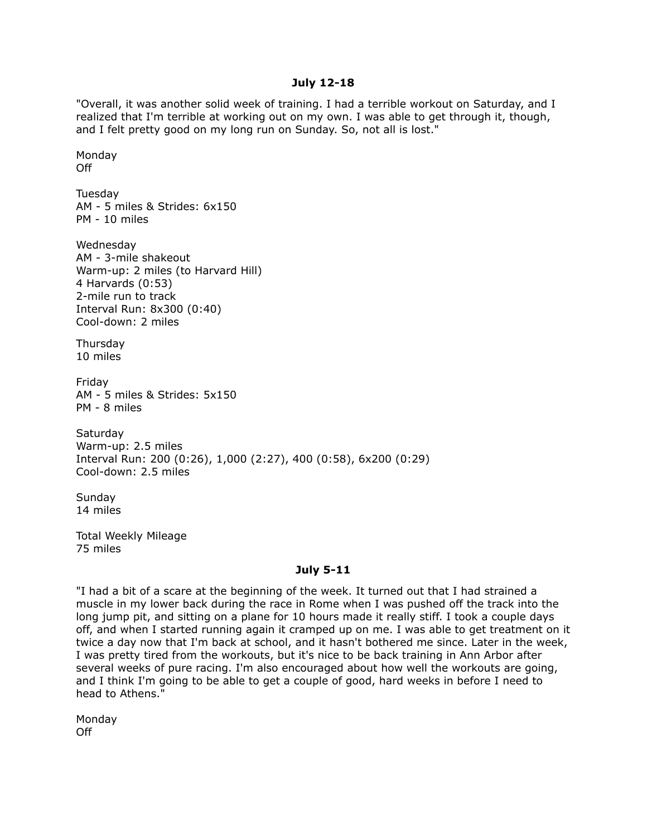#### **July 12-18**

"Overall, it was another solid week of training. I had a terrible workout on Saturday, and I realized that I'm terrible at working out on my own. I was able to get through it, though, and I felt pretty good on my long run on Sunday. So, not all is lost."

Monday Off Tuesday AM - 5 miles & Strides: 6x150 PM - 10 miles Wednesday AM - 3-mile shakeout Warm-up: 2 miles (to Harvard Hill) 4 Harvards (0:53) 2-mile run to track Interval Run: 8x300 (0:40) Cool-down: 2 miles Thursday 10 miles Friday AM - 5 miles & Strides: 5x150 PM - 8 miles Saturday Warm-up: 2.5 miles Interval Run: 200 (0:26), 1,000 (2:27), 400 (0:58), 6x200 (0:29) Cool-down: 2.5 miles

**Sunday** 14 miles

Total Weekly Mileage 75 miles

#### **July 5-11**

"I had a bit of a scare at the beginning of the week. It turned out that I had strained a muscle in my lower back during the race in Rome when I was pushed off the track into the long jump pit, and sitting on a plane for 10 hours made it really stiff. I took a couple days off, and when I started running again it cramped up on me. I was able to get treatment on it twice a day now that I'm back at school, and it hasn't bothered me since. Later in the week, I was pretty tired from the workouts, but it's nice to be back training in Ann Arbor after several weeks of pure racing. I'm also encouraged about how well the workouts are going, and I think I'm going to be able to get a couple of good, hard weeks in before I need to head to Athens."

Monday Off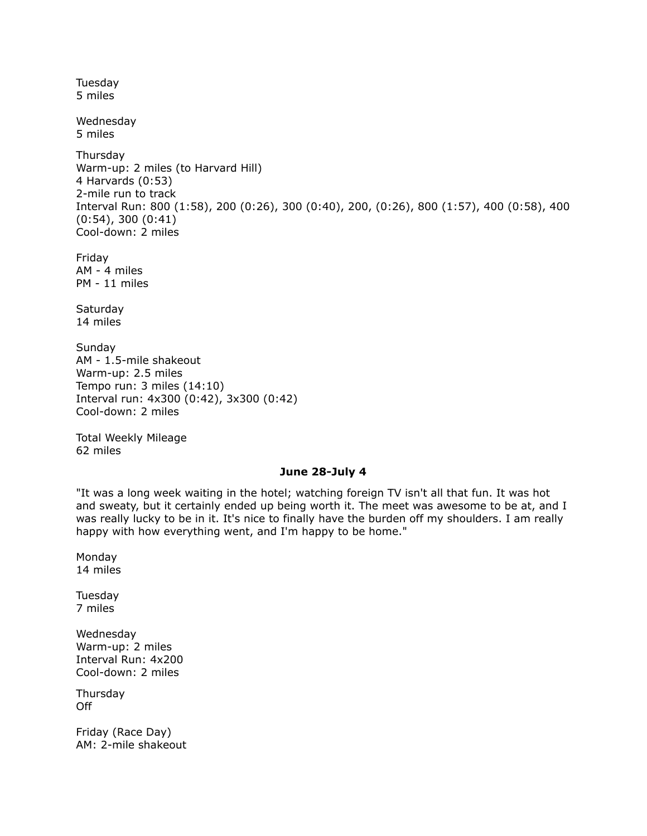Tuesday 5 miles

Wednesday 5 miles

Thursday Warm-up: 2 miles (to Harvard Hill) 4 Harvards (0:53) 2-mile run to track Interval Run: 800 (1:58), 200 (0:26), 300 (0:40), 200, (0:26), 800 (1:57), 400 (0:58), 400 (0:54), 300 (0:41) Cool-down: 2 miles

Friday AM - 4 miles PM - 11 miles

**Saturday** 14 miles

Sunday AM - 1.5-mile shakeout Warm-up: 2.5 miles Tempo run: 3 miles (14:10) Interval run: 4x300 (0:42), 3x300 (0:42) Cool-down: 2 miles

Total Weekly Mileage 62 miles

# **June 28-July 4**

"It was a long week waiting in the hotel; watching foreign TV isn't all that fun. It was hot and sweaty, but it certainly ended up being worth it. The meet was awesome to be at, and I was really lucky to be in it. It's nice to finally have the burden off my shoulders. I am really happy with how everything went, and I'm happy to be home."

Monday 14 miles

Tuesday 7 miles

Wednesday Warm-up: 2 miles Interval Run: 4x200 Cool-down: 2 miles

**Thursday** Off

Friday (Race Day) AM: 2-mile shakeout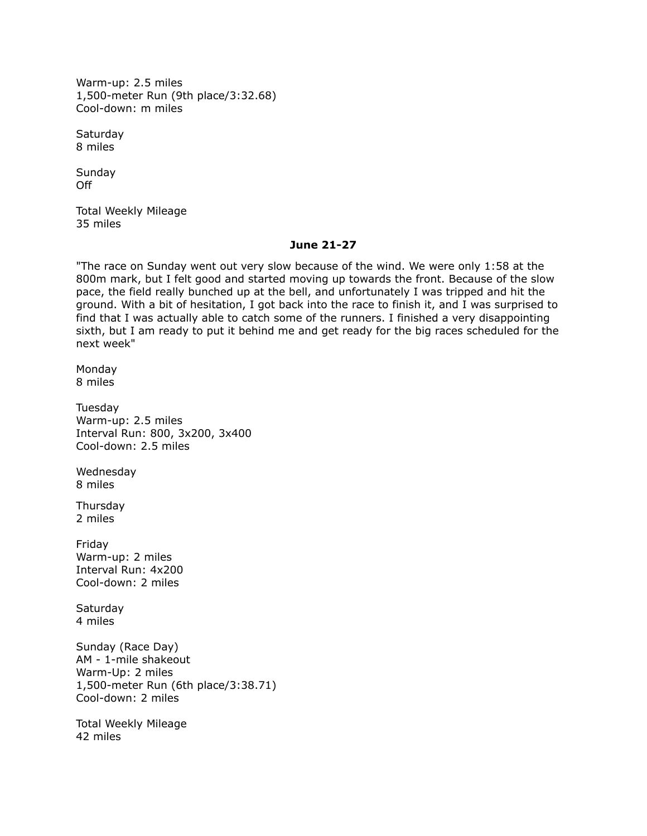Warm-up: 2.5 miles 1,500-meter Run (9th place/3:32.68) Cool-down: m miles

**Saturday** 8 miles

**Sunday** Off

Total Weekly Mileage 35 miles

### **June 21-27**

"The race on Sunday went out very slow because of the wind. We were only 1:58 at the 800m mark, but I felt good and started moving up towards the front. Because of the slow pace, the field really bunched up at the bell, and unfortunately I was tripped and hit the ground. With a bit of hesitation, I got back into the race to finish it, and I was surprised to find that I was actually able to catch some of the runners. I finished a very disappointing sixth, but I am ready to put it behind me and get ready for the big races scheduled for the next week"

Monday 8 miles

Tuesday Warm-up: 2.5 miles Interval Run: 800, 3x200, 3x400 Cool-down: 2.5 miles

Wednesday 8 miles

Thursday 2 miles

Friday Warm-up: 2 miles Interval Run: 4x200 Cool-down: 2 miles

Saturday 4 miles

Sunday (Race Day) AM - 1-mile shakeout Warm-Up: 2 miles 1,500-meter Run (6th place/3:38.71) Cool-down: 2 miles

Total Weekly Mileage 42 miles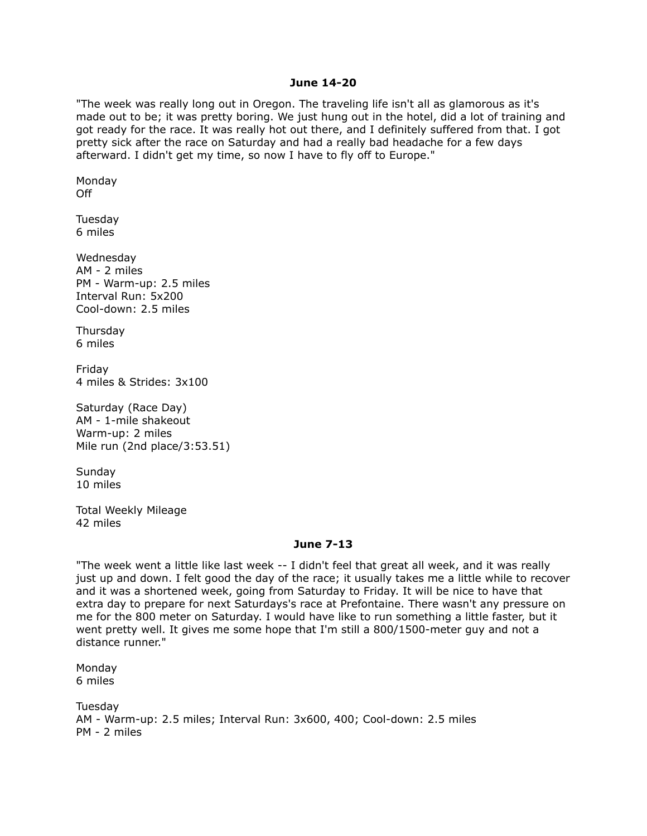### **June 14-20**

"The week was really long out in Oregon. The traveling life isn't all as glamorous as it's made out to be; it was pretty boring. We just hung out in the hotel, did a lot of training and got ready for the race. It was really hot out there, and I definitely suffered from that. I got pretty sick after the race on Saturday and had a really bad headache for a few days afterward. I didn't get my time, so now I have to fly off to Europe."

Monday Off

Tuesday 6 miles

Wednesday AM - 2 miles PM - Warm-up: 2.5 miles Interval Run: 5x200 Cool-down: 2.5 miles

Thursday 6 miles

Friday 4 miles & Strides: 3x100

Saturday (Race Day) AM - 1-mile shakeout Warm-up: 2 miles Mile run (2nd place/3:53.51)

Sunday 10 miles

Total Weekly Mileage 42 miles

### **June 7-13**

"The week went a little like last week -- I didn't feel that great all week, and it was really just up and down. I felt good the day of the race; it usually takes me a little while to recover and it was a shortened week, going from Saturday to Friday. It will be nice to have that extra day to prepare for next Saturdays's race at Prefontaine. There wasn't any pressure on me for the 800 meter on Saturday. I would have like to run something a little faster, but it went pretty well. It gives me some hope that I'm still a 800/1500-meter guy and not a distance runner."

Monday 6 miles

Tuesday AM - Warm-up: 2.5 miles; Interval Run: 3x600, 400; Cool-down: 2.5 miles PM - 2 miles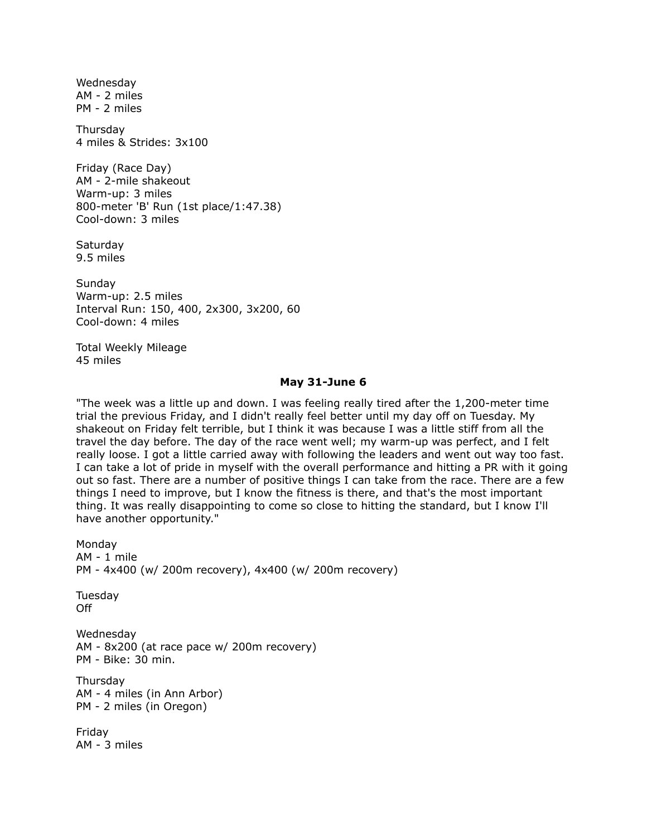Wednesday AM - 2 miles PM - 2 miles

Thursday 4 miles & Strides: 3x100

Friday (Race Day) AM - 2-mile shakeout Warm-up: 3 miles 800-meter 'B' Run (1st place/1:47.38) Cool-down: 3 miles

**Saturday** 9.5 miles

**Sundav** Warm-up: 2.5 miles Interval Run: 150, 400, 2x300, 3x200, 60 Cool-down: 4 miles

Total Weekly Mileage 45 miles

#### **May 31-June 6**

"The week was a little up and down. I was feeling really tired after the 1,200-meter time trial the previous Friday, and I didn't really feel better until my day off on Tuesday. My shakeout on Friday felt terrible, but I think it was because I was a little stiff from all the travel the day before. The day of the race went well; my warm-up was perfect, and I felt really loose. I got a little carried away with following the leaders and went out way too fast. I can take a lot of pride in myself with the overall performance and hitting a PR with it going out so fast. There are a number of positive things I can take from the race. There are a few things I need to improve, but I know the fitness is there, and that's the most important thing. It was really disappointing to come so close to hitting the standard, but I know I'll have another opportunity."

Monday AM - 1 mile PM - 4x400 (w/ 200m recovery), 4x400 (w/ 200m recovery) Tuesday Off Wednesday AM - 8x200 (at race pace w/ 200m recovery) PM - Bike: 30 min. **Thursdav** AM - 4 miles (in Ann Arbor) PM - 2 miles (in Oregon) Friday AM - 3 miles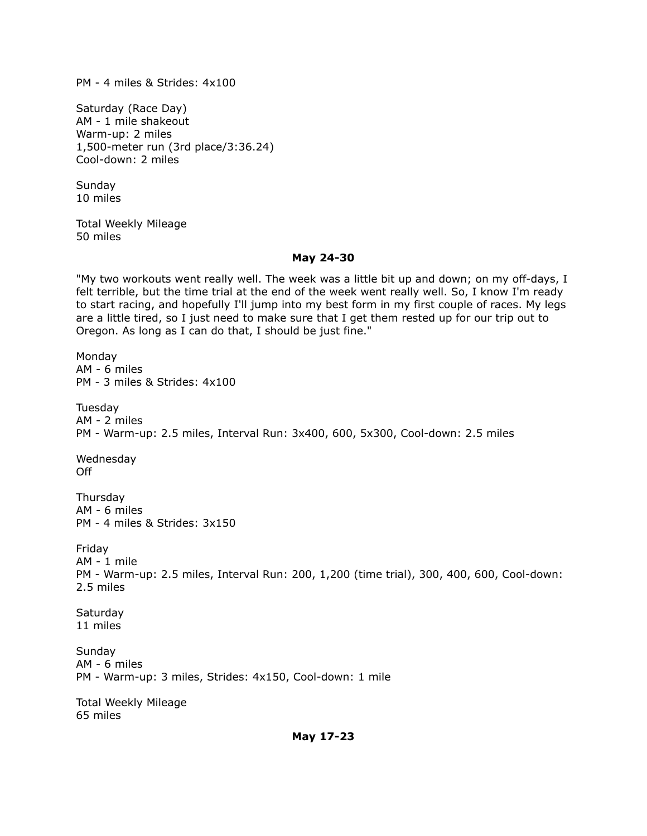PM - 4 miles & Strides: 4x100

Saturday (Race Day) AM - 1 mile shakeout Warm-up: 2 miles 1,500-meter run (3rd place/3:36.24) Cool-down: 2 miles

Sunday 10 miles

Total Weekly Mileage 50 miles

## **May 24-30**

"My two workouts went really well. The week was a little bit up and down; on my off-days, I felt terrible, but the time trial at the end of the week went really well. So, I know I'm ready to start racing, and hopefully I'll jump into my best form in my first couple of races. My legs are a little tired, so I just need to make sure that I get them rested up for our trip out to Oregon. As long as I can do that, I should be just fine."

Monday AM - 6 miles PM - 3 miles & Strides: 4x100 **Tuesday** AM - 2 miles PM - Warm-up: 2.5 miles, Interval Run: 3x400, 600, 5x300, Cool-down: 2.5 miles Wednesday Off Thursday AM - 6 miles PM - 4 miles & Strides: 3x150 Friday AM - 1 mile PM - Warm-up: 2.5 miles, Interval Run: 200, 1,200 (time trial), 300, 400, 600, Cool-down: 2.5 miles **Saturday** 11 miles Sunday AM - 6 miles PM - Warm-up: 3 miles, Strides: 4x150, Cool-down: 1 mile Total Weekly Mileage 65 miles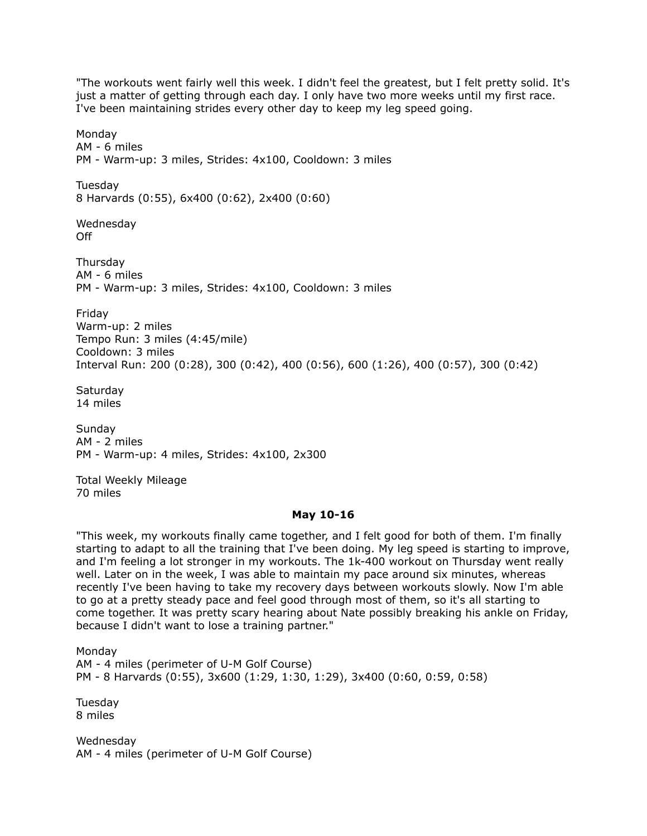"The workouts went fairly well this week. I didn't feel the greatest, but I felt pretty solid. It's just a matter of getting through each day. I only have two more weeks until my first race. I've been maintaining strides every other day to keep my leg speed going.

Monday AM - 6 miles PM - Warm-up: 3 miles, Strides: 4x100, Cooldown: 3 miles Tuesday 8 Harvards (0:55), 6x400 (0:62), 2x400 (0:60) Wednesday Off **Thursdav** AM - 6 miles PM - Warm-up: 3 miles, Strides: 4x100, Cooldown: 3 miles Friday Warm-up: 2 miles Tempo Run: 3 miles (4:45/mile) Cooldown: 3 miles Interval Run: 200 (0:28), 300 (0:42), 400 (0:56), 600 (1:26), 400 (0:57), 300 (0:42) **Saturdav** 14 miles

Sunday AM - 2 miles PM - Warm-up: 4 miles, Strides: 4x100, 2x300

Total Weekly Mileage 70 miles

### **May 10-16**

"This week, my workouts finally came together, and I felt good for both of them. I'm finally starting to adapt to all the training that I've been doing. My leg speed is starting to improve, and I'm feeling a lot stronger in my workouts. The 1k-400 workout on Thursday went really well. Later on in the week, I was able to maintain my pace around six minutes, whereas recently I've been having to take my recovery days between workouts slowly. Now I'm able to go at a pretty steady pace and feel good through most of them, so it's all starting to come together. It was pretty scary hearing about Nate possibly breaking his ankle on Friday, because I didn't want to lose a training partner."

Monday AM - 4 miles (perimeter of U-M Golf Course) PM - 8 Harvards (0:55), 3x600 (1:29, 1:30, 1:29), 3x400 (0:60, 0:59, 0:58)

Tuesday 8 miles

Wednesday AM - 4 miles (perimeter of U-M Golf Course)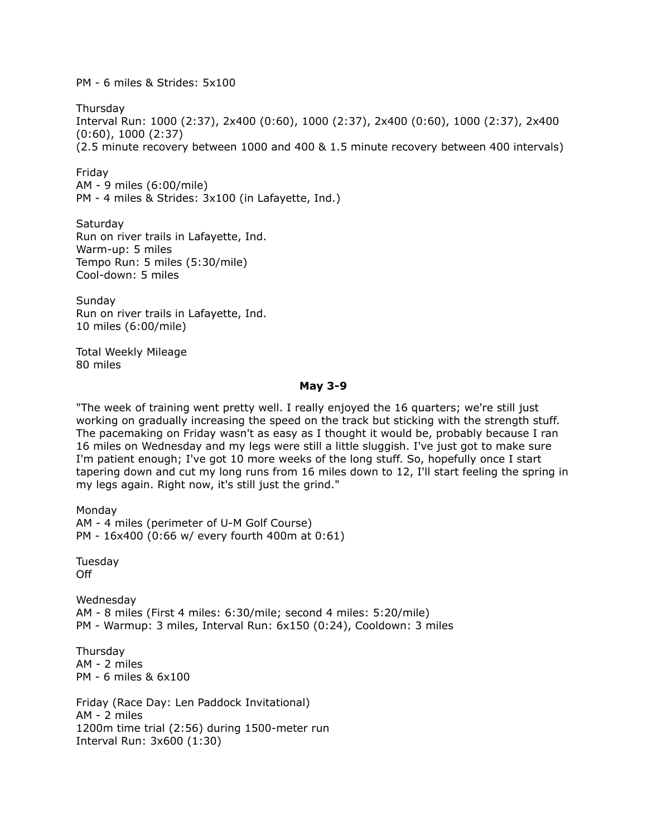PM - 6 miles & Strides: 5x100

Thursday Interval Run: 1000 (2:37), 2x400 (0:60), 1000 (2:37), 2x400 (0:60), 1000 (2:37), 2x400 (0:60), 1000 (2:37) (2.5 minute recovery between 1000 and 400 & 1.5 minute recovery between 400 intervals)

Friday

AM - 9 miles (6:00/mile) PM - 4 miles & Strides: 3x100 (in Lafayette, Ind.)

Saturday Run on river trails in Lafayette, Ind. Warm-up: 5 miles Tempo Run: 5 miles (5:30/mile) Cool-down: 5 miles

Sunday Run on river trails in Lafayette, Ind. 10 miles (6:00/mile)

Total Weekly Mileage 80 miles

## **May 3-9**

"The week of training went pretty well. I really enjoyed the 16 quarters; we're still just working on gradually increasing the speed on the track but sticking with the strength stuff. The pacemaking on Friday wasn't as easy as I thought it would be, probably because I ran 16 miles on Wednesday and my legs were still a little sluggish. I've just got to make sure I'm patient enough; I've got 10 more weeks of the long stuff. So, hopefully once I start tapering down and cut my long runs from 16 miles down to 12, I'll start feeling the spring in my legs again. Right now, it's still just the grind."

Monday AM - 4 miles (perimeter of U-M Golf Course) PM - 16x400 (0:66 w/ every fourth 400m at 0:61) Tuesday Off Wednesday AM - 8 miles (First 4 miles: 6:30/mile; second 4 miles: 5:20/mile) PM - Warmup: 3 miles, Interval Run: 6x150 (0:24), Cooldown: 3 miles Thursday AM - 2 miles PM - 6 miles & 6x100 Friday (Race Day: Len Paddock Invitational) AM - 2 miles 1200m time trial (2:56) during 1500-meter run Interval Run: 3x600 (1:30)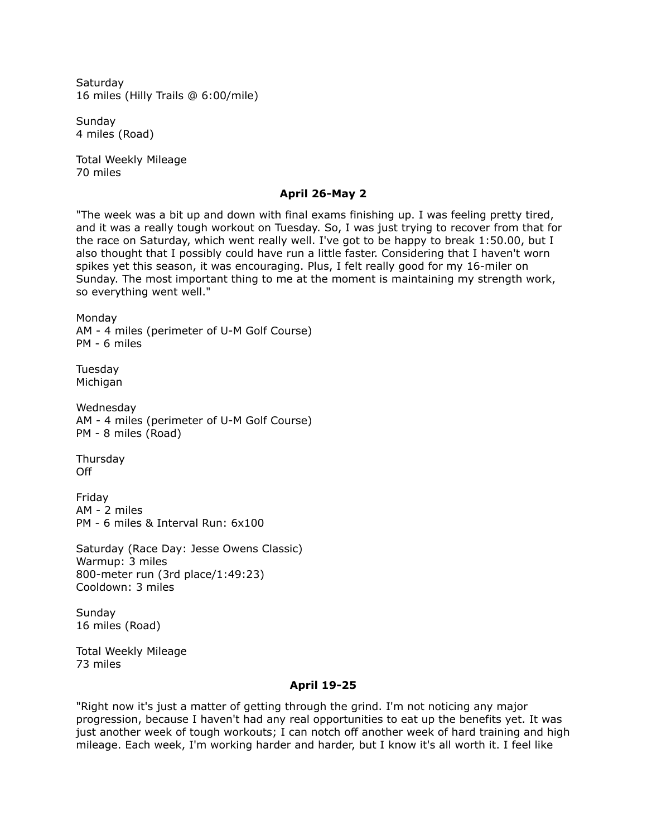**Saturday** 16 miles (Hilly Trails @ 6:00/mile)

Sunday 4 miles (Road)

Total Weekly Mileage 70 miles

## **April 26-May 2**

"The week was a bit up and down with final exams finishing up. I was feeling pretty tired, and it was a really tough workout on Tuesday. So, I was just trying to recover from that for the race on Saturday, which went really well. I've got to be happy to break 1:50.00, but I also thought that I possibly could have run a little faster. Considering that I haven't worn spikes yet this season, it was encouraging. Plus, I felt really good for my 16-miler on Sunday. The most important thing to me at the moment is maintaining my strength work, so everything went well."

Monday AM - 4 miles (perimeter of U-M Golf Course) PM - 6 miles

Tuesday Michigan

Wednesday AM - 4 miles (perimeter of U-M Golf Course) PM - 8 miles (Road)

Thursday Off

Friday AM - 2 miles PM - 6 miles & Interval Run: 6x100

Saturday (Race Day: Jesse Owens Classic) Warmup: 3 miles 800-meter run (3rd place/1:49:23) Cooldown: 3 miles

Sunday 16 miles (Road)

Total Weekly Mileage 73 miles

### **April 19-25**

"Right now it's just a matter of getting through the grind. I'm not noticing any major progression, because I haven't had any real opportunities to eat up the benefits yet. It was just another week of tough workouts; I can notch off another week of hard training and high mileage. Each week, I'm working harder and harder, but I know it's all worth it. I feel like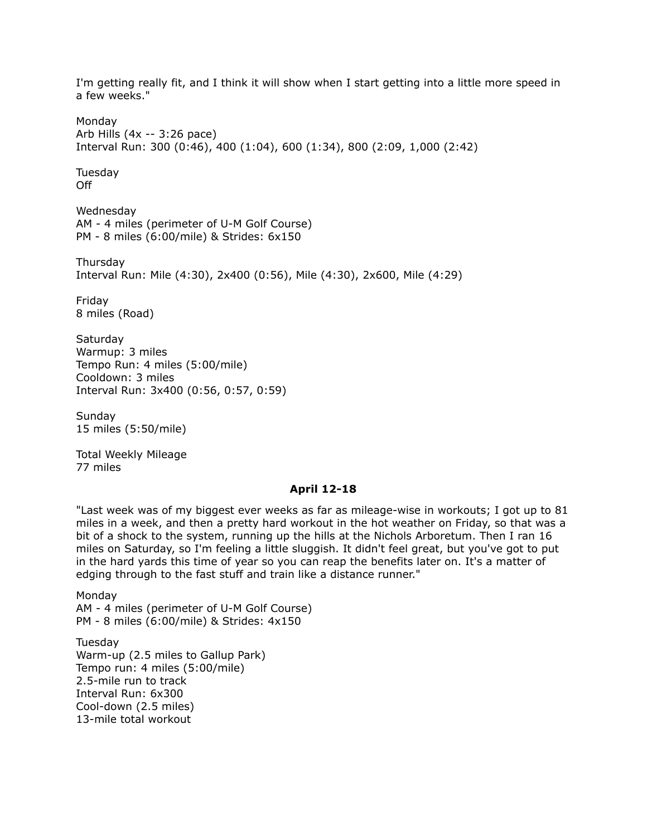I'm getting really fit, and I think it will show when I start getting into a little more speed in a few weeks." Monday Arb Hills (4x -- 3:26 pace) Interval Run: 300 (0:46), 400 (1:04), 600 (1:34), 800 (2:09, 1,000 (2:42) Tuesday Off Wednesday AM - 4 miles (perimeter of U-M Golf Course) PM - 8 miles (6:00/mile) & Strides: 6x150 **Thursdav** Interval Run: Mile (4:30), 2x400 (0:56), Mile (4:30), 2x600, Mile (4:29) Friday 8 miles (Road) **Saturday** Warmup: 3 miles Tempo Run: 4 miles (5:00/mile) Cooldown: 3 miles Interval Run: 3x400 (0:56, 0:57, 0:59) Sunday 15 miles (5:50/mile) Total Weekly Mileage 77 miles **April 12-18** "Last week was of my biggest ever weeks as far as mileage-wise in workouts; I got up to 81 miles in a week, and then a pretty hard workout in the hot weather on Friday, so that was a bit of a shock to the system, running up the hills at the Nichols Arboretum. Then I ran 16 miles on Saturday, so I'm feeling a little sluggish. It didn't feel great, but you've got to put in the hard yards this time of year so you can reap the benefits later on. It's a matter of edging through to the fast stuff and train like a distance runner." Monday AM - 4 miles (perimeter of U-M Golf Course) PM - 8 miles (6:00/mile) & Strides: 4x150 Tuesday

Warm-up (2.5 miles to Gallup Park) Tempo run: 4 miles (5:00/mile) 2.5-mile run to track Interval Run: 6x300 Cool-down (2.5 miles) 13-mile total workout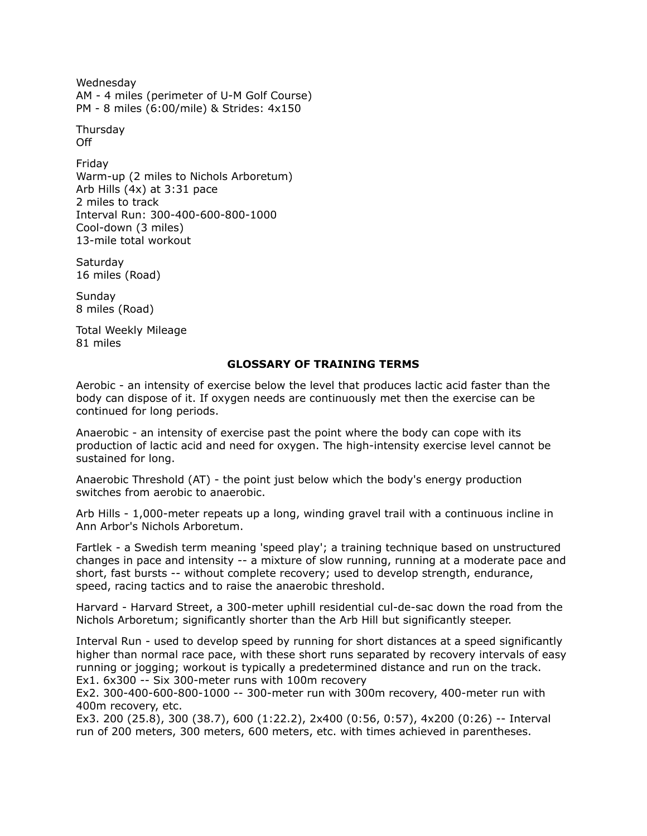Wednesday AM - 4 miles (perimeter of U-M Golf Course) PM - 8 miles (6:00/mile) & Strides: 4x150

Thursday Off

Friday Warm-up (2 miles to Nichols Arboretum) Arb Hills (4x) at 3:31 pace 2 miles to track Interval Run: 300-400-600-800-1000 Cool-down (3 miles) 13-mile total workout

**Saturdav** 16 miles (Road)

Sunday 8 miles (Road)

Total Weekly Mileage 81 miles

# **GLOSSARY OF TRAINING TERMS**

Aerobic - an intensity of exercise below the level that produces lactic acid faster than the body can dispose of it. If oxygen needs are continuously met then the exercise can be continued for long periods.

Anaerobic - an intensity of exercise past the point where the body can cope with its production of lactic acid and need for oxygen. The high-intensity exercise level cannot be sustained for long.

Anaerobic Threshold (AT) - the point just below which the body's energy production switches from aerobic to anaerobic.

Arb Hills - 1,000-meter repeats up a long, winding gravel trail with a continuous incline in Ann Arbor's Nichols Arboretum.

Fartlek - a Swedish term meaning 'speed play'; a training technique based on unstructured changes in pace and intensity -- a mixture of slow running, running at a moderate pace and short, fast bursts -- without complete recovery; used to develop strength, endurance, speed, racing tactics and to raise the anaerobic threshold.

Harvard - Harvard Street, a 300-meter uphill residential cul-de-sac down the road from the Nichols Arboretum; significantly shorter than the Arb Hill but significantly steeper.

Interval Run - used to develop speed by running for short distances at a speed significantly higher than normal race pace, with these short runs separated by recovery intervals of easy running or jogging; workout is typically a predetermined distance and run on the track. Ex1. 6x300 -- Six 300-meter runs with 100m recovery

Ex2. 300-400-600-800-1000 -- 300-meter run with 300m recovery, 400-meter run with 400m recovery, etc.

Ex3. 200 (25.8), 300 (38.7), 600 (1:22.2), 2x400 (0:56, 0:57), 4x200 (0:26) -- Interval run of 200 meters, 300 meters, 600 meters, etc. with times achieved in parentheses.